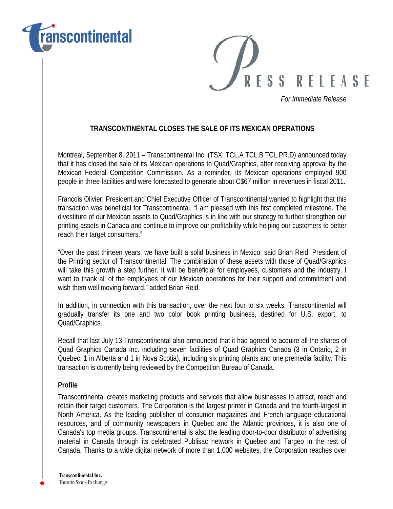



*For Immediate Release*

## **TRANSCONTINENTAL CLOSES THE SALE OF ITS MEXICAN OPERATIONS**

Montreal, September 8, 2011 – Transcontinental Inc. (TSX: TCL.A TCL.B TCL.PR.D) announced today that it has closed the sale of its Mexican operations to Quad/Graphics, after receiving approval by the Mexican Federal Competition Commission. As a reminder, its Mexican operations employed 900 people in three facilities and were forecasted to generate about C\$67 million in revenues in fiscal 2011.

François Olivier, President and Chief Executive Officer of Transcontinental wanted to highlight that this transaction was beneficial for Transcontinental. "I am pleased with this first completed milestone. The divestiture of our Mexican assets to Quad/Graphics is in line with our strategy to further strengthen our printing assets in Canada and continue to improve our profitability while helping our customers to better reach their target consumers."

"Over the past thirteen years, we have built a solid business in Mexico, said Brian Reid, President of the Printing sector of Transcontinental. The combination of these assets with those of Quad/Graphics will take this growth a step further. It will be beneficial for employees, customers and the industry. I want to thank all of the employees of our Mexican operations for their support and commitment and wish them well moving forward," added Brian Reid.

In addition, in connection with this transaction, over the next four to six weeks, Transcontinental will gradually transfer its one and two color book printing business, destined for U.S. export, to Quad/Graphics.

Recall that last July 13 Transcontinental also announced that it had agreed to acquire all the shares of Quad Graphics Canada Inc. including seven facilities of Quad Graphics Canada (3 in Ontario, 2 in Quebec, 1 in Alberta and 1 in Nova Scotia), including six printing plants and one premedia facility. This transaction is currently being reviewed by the Competition Bureau of Canada.

## **Profile**

Transcontinental creates marketing products and services that allow businesses to attract, reach and retain their target customers. The Corporation is the largest printer in Canada and the fourth-largest in North America. As the leading publisher of consumer magazines and French-language educational resources, and of community newspapers in Quebec and the Atlantic provinces, it is also one of Canada's top media groups. Transcontinental is also the leading door-to-door distributor of advertising material in Canada through its celebrated Publisac network in Quebec and Targeo in the rest of Canada. Thanks to a wide digital network of more than 1,000 websites, the Corporation reaches over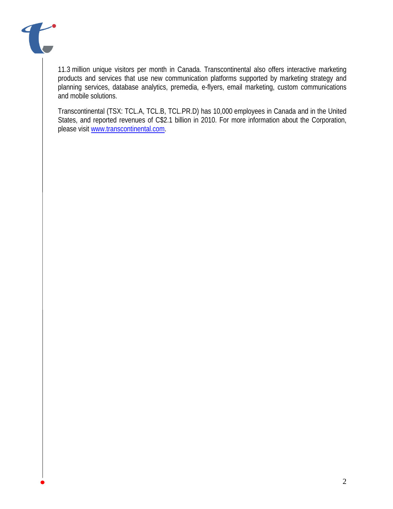

11.3 million unique visitors per month in Canada. Transcontinental also offers interactive marketing products and services that use new communication platforms supported by marketing strategy and planning services, database analytics, premedia, e-flyers, email marketing, custom communications and mobile solutions.

Transcontinental (TSX: TCL.A, TCL.B, TCL.PR.D) has 10,000 employees in Canada and in the United States, and reported revenues of C\$2.1 billion in 2010. For more information about the Corporation, please visit [www.transcontinental.com.](http://www.transcontinental.com/)